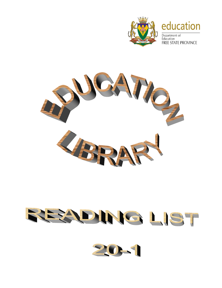

## education

Department of Education **FREE STATE PROVINCE** 



## READING LIST

20-1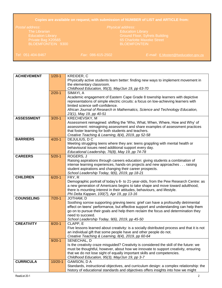## **Copies are available on request, with submission of NUMBER of LIST and ARTICLE from:**

Education Library Ground Floor, Syfrets Building

*Tel*: 051-404-8467 *Fax*: 086-615-2502 *E-mail*: [E.Mostert@fseducation.gov.za](mailto:E.Mostert@fseducation.gov.za)

| <b>ACHIEVEMENT</b> | $1/20-1$    | KREIDER, C                                                                                                                                                       |
|--------------------|-------------|------------------------------------------------------------------------------------------------------------------------------------------------------------------|
|                    |             | Physically active students learn better: finding new ways to implement movement in                                                                               |
|                    |             | the elementary classroom.                                                                                                                                        |
|                    |             | Childhood Education, 95(3), May/Jun 19, pp 63-70                                                                                                                 |
|                    | $2/20-1$    | SIMAYI, A                                                                                                                                                        |
|                    |             | Academic engagement of Eastern Cape Grade 8 township learners with depictive                                                                                     |
|                    |             | representations of simple electric circuits: a focus on low-achieving learners with                                                                              |
|                    |             | limited science self-confidence.                                                                                                                                 |
|                    |             | African Journal of Research in Mathematics, Science and Technology Education,                                                                                    |
|                    |             | 23(1), May 19, pp 40-51                                                                                                                                          |
| <b>ASSESSMENT</b>  | $3/20-1$    | KRECHEVSKY, M                                                                                                                                                    |
|                    |             | Assessment reimagined: shifting the 'Who, What, When, Where, How and Why' of                                                                                     |
|                    |             | assessment: reimagining assessment and share examples of assessment practices                                                                                    |
|                    |             | that foster learning for both students and teachers.                                                                                                             |
|                    |             | Creative Teaching & Learning, 8(4), 2019, pp 52-58                                                                                                               |
| <b>BARRIERS</b>    | $4/20 - 1$  | DEJULIUS, DC                                                                                                                                                     |
|                    |             | Meeting struggling teens where they are: teens grappling with mental health or                                                                                   |
|                    |             | behavioural issues need additional support every day.                                                                                                            |
|                    |             | Educational Leadership, 76(8), May 19, pp 74-78                                                                                                                  |
| <b>CAREERS</b>     | $5/20-1$    | ROGERS, J                                                                                                                                                        |
|                    |             | Raising aspirations through careers education: giving students a combination of                                                                                  |
|                    |             | intense learning experiences, hands-on projects and new approaches raising                                                                                       |
|                    |             | student aspirations and changing their career prospects.                                                                                                         |
|                    |             | School Leadership Today, 9(6), 2019, pp 18-21                                                                                                                    |
| <b>CHILDREN</b>    | $6/20-1$    | FRY, R                                                                                                                                                           |
|                    |             | Demographic portrait of today's 6- to 21-year-olds, from the Pew Research Centre: as                                                                             |
|                    |             | a new generation of Americans begins to take shape and move toward adulthood,                                                                                    |
|                    |             | there is mounting interest in their attitudes, behaviours, and lifestyle.                                                                                        |
|                    |             | Phi Delta Kappan, 100(7), Apr 19, pp 13-16                                                                                                                       |
| <b>COUNSELING</b>  | $7/20-1$    | JOTHAM, D                                                                                                                                                        |
|                    |             | Soothing sorrow supporting grieving teens: grief can have a profoundly detrimental                                                                               |
|                    |             | effect on teens' performance, but effective support and understanding can help them                                                                              |
|                    |             | go on to pursue their goals and help them reclaim the focus and determination they                                                                               |
|                    |             | need to succeed.                                                                                                                                                 |
| <b>CREATIVITY</b>  |             | School Leadership Today, 9(6), 2019, pp 45-50<br>CLAPP, E                                                                                                        |
|                    | $8/20-1$    |                                                                                                                                                                  |
|                    |             | Five lessons learned about creativity: is a socially distributed process and that it is not<br>an individual gift that some people have and other people do not. |
|                    |             | Creative Teaching & Learning, 8(4), 2019, pp 60-64                                                                                                               |
|                    | $9/20 - 1$  | SENECHAL, D                                                                                                                                                      |
|                    |             | Is the creativity craze misguided? Creativity is considered the skill of the future: we                                                                          |
|                    |             | must be thoughtful, however, about how we innovate to support creativity, ensuring                                                                               |
|                    |             | that we do not lose sight of equally important skills and competencies.                                                                                          |
|                    |             | Childhood Education, 95(3), May/Jun 19, pp 3-7                                                                                                                   |
| <b>CURRICULA</b>   | $10/20 - 1$ | GAMSON, D A                                                                                                                                                      |
|                    |             | Standards, instructional objectives, and curriculum design: a complex relationship: the                                                                          |
|                    |             | history of educational standards and objectives offers insights into how we might                                                                                |
|                    |             |                                                                                                                                                                  |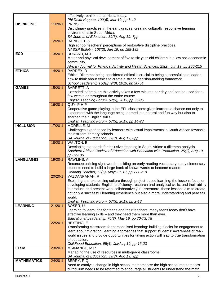|                    |             | effectively rethink our curricula today.                                                                                                                                    |
|--------------------|-------------|-----------------------------------------------------------------------------------------------------------------------------------------------------------------------------|
|                    |             | Phi Delta Kappan, 100(6), Mar 19, pp 8-12                                                                                                                                   |
| <b>DISCIPLINE</b>  | $11/20-1$   | PRINS, C                                                                                                                                                                    |
|                    |             | Disciplinary practices in the early grades: creating culturally responsive learning<br>environments in South Africa.                                                        |
|                    |             |                                                                                                                                                                             |
|                    | $12/20-1$   | SA Journal of Education, 39(3), Aug 19, 7pp                                                                                                                                 |
|                    |             | RAINBOLT, S                                                                                                                                                                 |
|                    |             | High school teachers' perceptions of restorative discipline practices.                                                                                                      |
|                    |             | NASSP Bulletin, 103(2), Jun 19, pp 158-182                                                                                                                                  |
| <b>ECD</b>         | $13/20-1$   | DURAND, MJ                                                                                                                                                                  |
|                    |             | Motor and physical development of five to six year-old children in a low socioeconomic                                                                                      |
|                    |             | community.<br>African Journal for Physical Activity and Health Sciences, 25(2), Jun 19, pp 200-215                                                                          |
| <b>ETHICS</b>      | $14/20 - 1$ | PARDEY, D                                                                                                                                                                   |
|                    |             | Ethical Dilemma: being considered ethical is crucial to being successful as a leader:                                                                                       |
|                    |             | how to think about ethics to create a strong decision-making framework.                                                                                                     |
|                    |             | School Leadership Today, 9(3), 2019, pp 50-54                                                                                                                               |
| <b>GAMES</b>       | $15/20-1$   | BARRETT, A                                                                                                                                                                  |
|                    |             | Extended icebreaker: this activity takes a few minutes per day and can be used for a                                                                                        |
|                    |             | few weeks or throughout the entire course.                                                                                                                                  |
|                    |             | English Teaching Forum, 57(3), 2019, pp 33-35                                                                                                                               |
|                    | $16/20-1$   | QUY, PHP                                                                                                                                                                    |
|                    |             | Cooperative game-playing in the EFL classroom: gives learners a chance not only to                                                                                          |
|                    |             | experiment with the language being learned in a natural and fun way but also to                                                                                             |
|                    |             | sharpen their English skills.                                                                                                                                               |
|                    |             | English Teaching Forum, 57(3), 2019, pp 14-23                                                                                                                               |
| <b>INCLUSION</b>   | $17/20 - 1$ | MORELLE, M                                                                                                                                                                  |
|                    |             | Challenges experienced by learners with visual impairments in South African township                                                                                        |
|                    |             | mainstream primary schools.                                                                                                                                                 |
|                    |             | SA Journal of Education, 39(3), Aug 19, 6pp                                                                                                                                 |
|                    | 18/20-1     | WALTON, E                                                                                                                                                                   |
|                    |             | Developing standards for inclusive teaching in South Africa: a dilemma analysis.                                                                                            |
|                    |             | Southern African Review of Education with Education with Production, 25(1), Aug 19,                                                                                         |
|                    |             | pp 89-106                                                                                                                                                                   |
| <b>LANGUAGES</b>   | 19/20-1     | RAWLINS, A                                                                                                                                                                  |
|                    |             | Reconceptualising sight words: building an early reading vocabulary: early elementary                                                                                       |
|                    |             | students need to build a large bank of known words to become readers.                                                                                                       |
|                    |             | Reading Teacher, 72(6), May/Jun 19, pp 711-719                                                                                                                              |
|                    | $20/20 - 1$ | YAZDANPANAH, R                                                                                                                                                              |
|                    |             | Exploring and expressing culture through project-based learning: the lessons focus on                                                                                       |
|                    |             | developing students' English proficiency, research and analytical skills, and their ability                                                                                 |
|                    |             | to produce and present work collaboratively. Furthermore, these lessons aim to create                                                                                       |
|                    |             | not only a successful learning experience but also a more understanding and peaceful                                                                                        |
|                    |             | world.                                                                                                                                                                      |
|                    |             | English Teaching Forum, 57(3), 2019, pp 2-13                                                                                                                                |
| <b>LEARNING</b>    | $21/20 - 1$ | BOSER, U                                                                                                                                                                    |
|                    |             | Learning to learn: tips for teens and their teachers: many teens today don't have                                                                                           |
|                    |             | effective learning skills - and they need them more than ever.                                                                                                              |
|                    | $22/20-1$   | Educational Leadership, 76(8), May 19, pp 70-73, 78<br>HEYTING, E                                                                                                           |
|                    |             |                                                                                                                                                                             |
|                    |             | Transforming classroom for personalised learning: building blocks for engagement to<br>learn about migration: learning approaches that support students' awareness of real- |
|                    |             | world issues and provide opportunities for taking action will lead to true transformation                                                                                   |
|                    |             | of education.                                                                                                                                                               |
|                    |             | Childhood Education, 95(4), Jul/Aug 19, pp 16-23                                                                                                                            |
| <b>LTSM</b>        | 23/20-1     | MSIMANGE, MR                                                                                                                                                                |
|                    |             | Managing the use of resources in multi-grade classrooms.                                                                                                                    |
|                    |             | SA Journal of Education, 39(3), Aug 19, 9pp                                                                                                                                 |
| <b>MATHEMATICS</b> | $24/20 - 1$ | BERRY, RQ                                                                                                                                                                   |
|                    |             | Need to catalyse change in high school mathematics: the high school mathematics                                                                                             |
|                    |             | curriculum needs to be reformed to encourage all students to understand the math                                                                                            |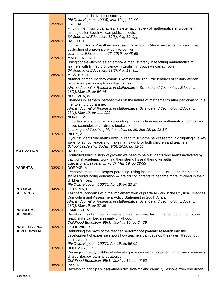|                                   |             | that underlies the fabric of society.                                                               |
|-----------------------------------|-------------|-----------------------------------------------------------------------------------------------------|
|                                   |             | Phi Delta Kappan, 100(6), Mar 19, pp 39-44                                                          |
|                                   | $25/20-1$   | GAILLARD, C                                                                                         |
|                                   |             | Finding the missing variables: a systematic review of mathematics improvement                       |
|                                   |             | strategies for South African public schools.                                                        |
|                                   |             | SA Journal of Education, 39(3), Aug 19, 9pp                                                         |
|                                   | $26/20-1$   | HAZELL, E                                                                                           |
|                                   |             | Improving Grade R mathematics teaching in South Africa: evidence from an impact                     |
|                                   |             | evaluation of a province-wide intervention.                                                         |
|                                   | $27/20-1$   | Journal of Education, no 76, 2019, pp 48-68<br>MALULEKE, M J                                        |
|                                   |             | Using code-switching as an empowerment strategy in teaching mathematics to                          |
|                                   |             | learners with limited proficiency in English in South African schools.                              |
|                                   |             | SA Journal of Education, 39(3), Aug 19, 9pp                                                         |
|                                   | 28/20-1     | MOSTERT, I                                                                                          |
|                                   |             | Number names: do they count? Examines the linguistic features of certain African                    |
|                                   |             | languages, pertaining to number names.                                                              |
|                                   |             | African Journal of Research in Mathematics, Science and Technology Education,                       |
|                                   |             | 23(1), May 19, pp 64-74                                                                             |
|                                   | 29/20-1     | NDLOVUA, W                                                                                          |
|                                   |             | Changes in learners' perspectives on the nature of mathematics after participating in a             |
|                                   |             | mentorship programme.                                                                               |
|                                   |             | African Journal of Research in Mathematics, Science and Technology Education,                       |
|                                   |             | 23(1), May 19, pp 111-121                                                                           |
|                                   | $30/20 - 1$ | NORTH, M                                                                                            |
|                                   |             | Importance of structure for supporting children's learning in mathematics: comparison               |
|                                   |             | of two examples of children's bookwork.                                                             |
|                                   |             | Learning and Teaching Mathematics, no 26, Jun 19, pp 12-17                                          |
|                                   | $31/20 - 1$ | RILEY, A                                                                                            |
|                                   |             | If your students find maths difficult, read this! Some new research, highlighting five key          |
|                                   |             | ways for school leaders to make maths work for both children and teachers.                          |
| <b>MOTIVATION</b>                 | $32/20-1$   | School Leadership Today, 9(5), 2019, pp 52-56<br>HART, C                                            |
|                                   |             | Controlled burn: a story of growth: we need to help students who aren't motivated by                |
|                                   |             | traditional academic work find their strengths and their own paths.                                 |
|                                   |             | Educational Leadership, 76(8), May 19, pp 28-33                                                     |
| <b>PARENTS</b>                    | $33/20-1$   | DOEPKE, M                                                                                           |
|                                   |             | Economic roots of helicopter parenting: rising income inequality — and the higher                   |
|                                   |             | stakes surrounding education - are driving parents to become more involved in their                 |
|                                   |             | children's lives.                                                                                   |
|                                   |             | Phi Delta Kappan, 100(7), Apr 19, pp 22-27                                                          |
| <b>PHYSICAL</b>                   | $34/20 - 1$ | OGUOMA, E                                                                                           |
| <b>SCIENCES</b>                   |             | Teachers' concerns with the implementation of practical work in the Physical Sciences               |
|                                   |             | Curriculum and Assessment Policy Statement in South Africa.                                         |
|                                   |             | African Journal of Research in Mathematics, Science and Technology Education,                       |
|                                   | $35/20-1$   | 23(1), May 19, pp 27-39                                                                             |
| <b>PROBLEM-</b><br><b>SOLVING</b> |             | LAMBERT, A<br>Developing skills through creative problem-solving: laying the foundation for future- |
|                                   |             | ready skills can begin in early childhood.                                                          |
|                                   |             | Childhood Education, 95(4), Jul/Aug 19, pp 24-29                                                    |
| <b>PROFESSIONAL</b>               | 36/20-1     | GOODWIN, B                                                                                          |
| <b>DEVELOPMENT</b>                |             | Debunking the myth of the teacher performance plateau: research into the                            |
|                                   |             | development of expertise shows how teachers can develop their talent throughout                     |
|                                   |             | their careers.                                                                                      |
|                                   |             | Phi Delta Kappan, 100(7), Apr 19, pp 56-61                                                          |
|                                   | $37/20 - 1$ | HOFFMAN, E B                                                                                        |
|                                   |             | Reimagining early childhood educator professional development: an online community                  |
|                                   |             | shares literacy learning strategies.                                                                |
|                                   |             | Childhood Education, 95(4), Jul/Aug 19, pp 47-52                                                    |
|                                   | 38/20-1     | PAK, K                                                                                              |
|                                   |             | Developing principals' data-driven decision-making capacity: lessons from one urban                 |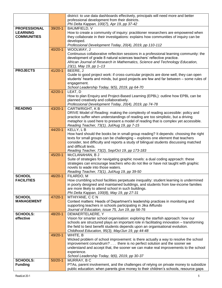|                     |             | district: to use data dashboards effectively, principals will need more and better                                                                                       |
|---------------------|-------------|--------------------------------------------------------------------------------------------------------------------------------------------------------------------------|
|                     |             | professional development from their districts.                                                                                                                           |
|                     |             | Phi Delta Kappan, 100(7), Apr 19, pp 37-42                                                                                                                               |
| <b>PROFESSIONAL</b> | 39/20-1     | BAUMFIELD, V                                                                                                                                                             |
| <b>LEARNING</b>     |             | How to create a community of inquiry: practitioner researchers are empowered when                                                                                        |
| <b>COMMUNITIES</b>  |             | they collaborate in their investigations: explains how communities of inquiry can be                                                                                     |
|                     |             | developed.                                                                                                                                                               |
|                     |             | Professional Development Today, 20(4), 2019, pp 110-112                                                                                                                  |
|                     | $40/20 - 1$ | WOOLWAY, J                                                                                                                                                               |
|                     |             | Continuous collaborative reflection sessions in a professional learning community: the                                                                                   |
|                     |             | development of grade 8 natural sciences teachers' reflective practice.                                                                                                   |
|                     |             | African Journal of Research in Mathematics, Science and Technology Education,                                                                                            |
|                     |             | 23(1), May 19, pp 1-13                                                                                                                                                   |
| <b>PROJECTS</b>     | $41/20 - 1$ | BEERE, J                                                                                                                                                                 |
|                     |             | Guide to good project work: if cross-curricular projects are done well, they can open                                                                                    |
|                     |             | students' hearts and minds, but good projects are few and far between - some rules of                                                                                    |
|                     |             | engagement.                                                                                                                                                              |
|                     |             | School Leadership Today, 9(5), 2019, pp 64-70                                                                                                                            |
|                     | 42/20-1     | LEAT, D                                                                                                                                                                  |
|                     |             | How to plan Enquiry and Project-Based Learning (EPBL): outline how EPBL can be                                                                                           |
|                     |             | planned creatively and collaboratively.                                                                                                                                  |
|                     |             | Professional Development Today, 20(4), 2019, pp 74-78                                                                                                                    |
| <b>READING</b>      | 43/20-1     | <b>CARTWRIGHT, KB</b>                                                                                                                                                    |
|                     |             | DRIVE Model of Reading: making the complexity of reading accessible: policy and                                                                                          |
|                     |             | practice suffer when understandings of reading are too simplistic, but a driving<br>metaphor is used here to present a model of reading that is complex yet accessible.  |
|                     |             |                                                                                                                                                                          |
|                     | 44/20-1     | Reading Teacher, 73(1), Jul/Aug 19, pp 7-15<br>KELLY, LB                                                                                                                 |
|                     |             |                                                                                                                                                                          |
|                     |             | How hard should the books be in small-group reading? It depends: choosing the right                                                                                      |
|                     |             | texts for small groups can be challenging – explores one element that teachers<br>consider, text difficulty and reports a study of bilingual students discussing matched |
|                     |             | and difficult texts.                                                                                                                                                     |
|                     |             | Reading Teacher, 73(2), Sep/Oct 19, pp 173-183                                                                                                                           |
|                     | 45/20-1     | McCLANAHAN, B J                                                                                                                                                          |
|                     |             | Suite of strategies for navigating graphic novels: a dual coding approach: these                                                                                         |
|                     |             | strategies can encourage teachers who do not like or have not taught with graphic                                                                                        |
|                     |             | novels to wade into those waters.                                                                                                                                        |
|                     |             | Reading Teacher, 73(1), Jul/Aug 19, pp 39-50                                                                                                                             |
| <b>SCHOOL</b>       | 46/20-1     | FILARDO, M                                                                                                                                                               |
| <b>FACILITIES</b>   |             | How crumbling school facilities perpetuate inequality: student learning is undermined                                                                                    |
|                     |             | in poorly designed and maintained buildings, and students from low-income families                                                                                       |
|                     |             | are more likely to attend school in such buildings.                                                                                                                      |
|                     |             | Phi Delta Kappan, 100(8), May 19, pp 27-31                                                                                                                               |
| <b>SCHOOL</b>       | 47/20-1     | MTHIYANE, CCN                                                                                                                                                            |
| <b>MANAGEMENT</b>   |             | Context matters: Heads of Department's leadership practices in monitoring and                                                                                            |
|                     |             | supporting teachers in schools participating in Jika iMfundo                                                                                                             |
|                     |             | Journal of Education, issue 75, Jun 19, pp 56-76                                                                                                                         |
| <b>SCHOOLS:</b>     | 48/20-1     | DEMAERTELAERE, Y                                                                                                                                                         |
| effective           |             | Vision for smarter school organisation: exploring the starfish approach: how our                                                                                         |
|                     |             | schools are structured plays an important role in facilitating innovation - transforming                                                                                 |
|                     |             | the field to best benefit students depends upon an organisational evolution.                                                                                             |
|                     |             | Childhood Education, 95(3), May/Jun 19, pp 44-48                                                                                                                         |
|                     | 49/20-1     | WHITE, B                                                                                                                                                                 |
|                     |             | Wicked problem of school improvement: is there actually a way to resolve the school                                                                                      |
|                     |             | improvement conundrum? there is no perfect solution and the sooner we                                                                                                    |
|                     |             | understand and accept that, the sooner we can make real improvements to the school                                                                                       |
|                     |             | experience.                                                                                                                                                              |
|                     |             | School Leadership Today, 9(6), 2019, pp 30-37                                                                                                                            |
| <b>SCHOOLS:</b>     | $50/20-1$   | MURRAY, BC                                                                                                                                                               |
| <b>Funding</b>      |             | PTAs, parent involvement, and the challenges of relying on private money to subsidize                                                                                    |
|                     |             | public education: when parents give money to their children's schools, resource gaps                                                                                     |